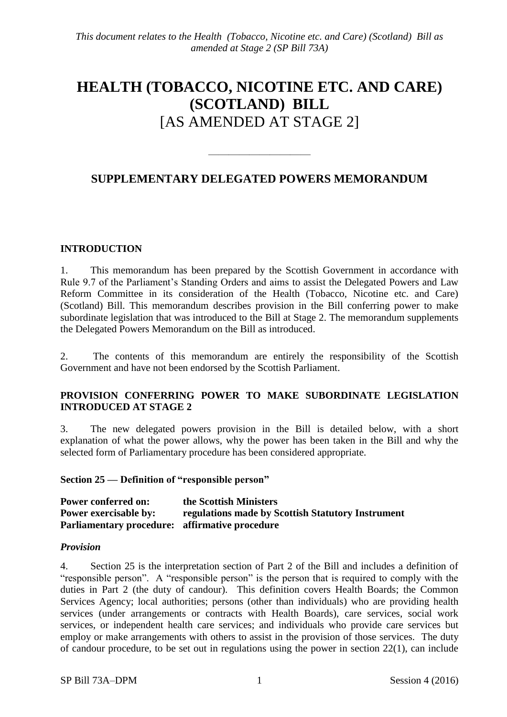# **HEALTH (TOBACCO, NICOTINE ETC. AND CARE) (SCOTLAND) BILL** [AS AMENDED AT STAGE 2]

## **SUPPLEMENTARY DELEGATED POWERS MEMORANDUM**

 $\frac{1}{\sqrt{2}}$ 

#### **INTRODUCTION**

1. This memorandum has been prepared by the Scottish Government in accordance with Rule 9.7 of the Parliament's Standing Orders and aims to assist the Delegated Powers and Law Reform Committee in its consideration of the Health (Tobacco, Nicotine etc. and Care) (Scotland) Bill. This memorandum describes provision in the Bill conferring power to make subordinate legislation that was introduced to the Bill at Stage 2. The memorandum supplements the Delegated Powers Memorandum on the Bill as introduced.

2. The contents of this memorandum are entirely the responsibility of the Scottish Government and have not been endorsed by the Scottish Parliament.

### **PROVISION CONFERRING POWER TO MAKE SUBORDINATE LEGISLATION INTRODUCED AT STAGE 2**

3. The new delegated powers provision in the Bill is detailed below, with a short explanation of what the power allows, why the power has been taken in the Bill and why the selected form of Parliamentary procedure has been considered appropriate.

**Section 25 — Definition of "responsible person"** 

| <b>Power conferred on:</b>                            | the Scottish Ministers                            |
|-------------------------------------------------------|---------------------------------------------------|
| <b>Power exercisable by:</b>                          | regulations made by Scottish Statutory Instrument |
| <b>Parliamentary procedure:</b> affirmative procedure |                                                   |

#### *Provision*

4. Section 25 is the interpretation section of Part 2 of the Bill and includes a definition of "responsible person". A "responsible person" is the person that is required to comply with the duties in Part 2 (the duty of candour). This definition covers Health Boards; the Common Services Agency; local authorities; persons (other than individuals) who are providing health services (under arrangements or contracts with Health Boards), care services, social work services, or independent health care services; and individuals who provide care services but employ or make arrangements with others to assist in the provision of those services. The duty of candour procedure, to be set out in regulations using the power in section 22(1), can include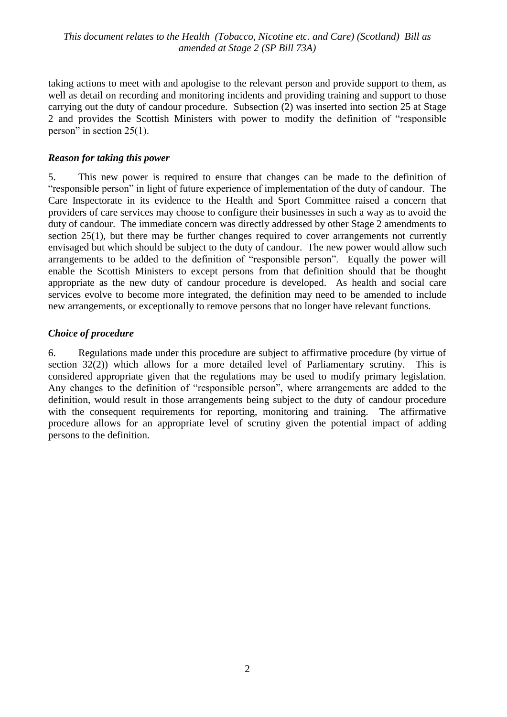*This document relates to the Health (Tobacco, Nicotine etc. and Care) (Scotland) Bill as amended at Stage 2 (SP Bill 73A)*

taking actions to meet with and apologise to the relevant person and provide support to them, as well as detail on recording and monitoring incidents and providing training and support to those carrying out the duty of candour procedure. Subsection (2) was inserted into section 25 at Stage 2 and provides the Scottish Ministers with power to modify the definition of "responsible person" in section 25(1).

#### *Reason for taking this power*

5. This new power is required to ensure that changes can be made to the definition of "responsible person" in light of future experience of implementation of the duty of candour. The Care Inspectorate in its evidence to the Health and Sport Committee raised a concern that providers of care services may choose to configure their businesses in such a way as to avoid the duty of candour. The immediate concern was directly addressed by other Stage 2 amendments to section 25(1), but there may be further changes required to cover arrangements not currently envisaged but which should be subject to the duty of candour. The new power would allow such arrangements to be added to the definition of "responsible person". Equally the power will enable the Scottish Ministers to except persons from that definition should that be thought appropriate as the new duty of candour procedure is developed. As health and social care services evolve to become more integrated, the definition may need to be amended to include new arrangements, or exceptionally to remove persons that no longer have relevant functions.

#### *Choice of procedure*

6. Regulations made under this procedure are subject to affirmative procedure (by virtue of section 32(2)) which allows for a more detailed level of Parliamentary scrutiny. This is considered appropriate given that the regulations may be used to modify primary legislation. Any changes to the definition of "responsible person", where arrangements are added to the definition, would result in those arrangements being subject to the duty of candour procedure with the consequent requirements for reporting, monitoring and training. The affirmative procedure allows for an appropriate level of scrutiny given the potential impact of adding persons to the definition.